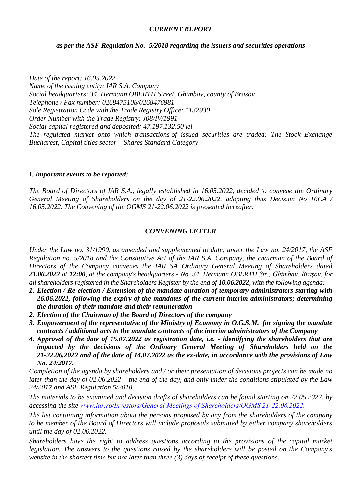## *CURRENT REPORT*

## *as per the ASF Regulation No. 5/2018 regarding the issuers and securities operations*

*Date of the report: 16.05.2022 Name of the issuing entity: IAR S.A. Company Social headquarters: 34, Hermann OBERTH Street, Ghimbav, county of Brasov Telephone / Fax number: 0268475108/0268476981 Sole Registration Code with the Trade Registry Office: 1132930 Order Number with the Trade Registry: J08/IV/1991 Social capital registered and deposited: 47.197.132,50 lei The regulated market onto which transactions of issued securities are traded: The Stock Exchange Bucharest, Capital titles sector – Shares Standard Category*

## *I. Important events to be reported:*

*The Board of Directors of IAR S.A., legally established in 16.05.2022, decided to convene the Ordinary General Meeting of Shareholders on the day of 21-22.06.2022, adopting thus Decision No 16CA / 16.05.2022. The Convening of the OGMS 21-22.06.2022 is presented hereafter:*

## *CONVENING LETTER*

*Under the Law no. 31/1990, as amended and supplemented to date, under the Law no. 24/2017, the ASF Regulation no. 5/2018 and the Constitutive Act of the IAR S.A. Company, the chairman of the Board of Directors of the Company convenes the IAR SA Ordinary General Meeting of Shareholders dated 21.06.2022 at 12:00, at the company's headquarters - No. 34, Hermann OBERTH Str., Ghimbav, Braşov, for all shareholders registered in the Shareholders Register by the end of 10.06.2022, with the following agenda:*

- *1. Election / Re-election / Extension of the mandate duration of temporary administrators starting with 26.06.2022, following the expiry of the mandates of the current interim administrators; determining the duration of their mandate and their remuneration*
- *2. Election of the Chairman of the Board of Directors of the company*
- *3. Empowerment of the representative of the Ministry of Economy in O.G.S.M. for signing the mandate contracts / additional acts to the mandate contracts of the interim administrators of the Company*
- *4. Approval of the date of 15.07.2022 as registration date, i.e. - identifying the shareholders that are impacted by the decisions of the Ordinary General Meeting of Shareholders held on the 21-22.06.2022 and of the date of 14.07.2022 as the ex-date, in accordance with the provisions of Law No. 24/2017.*

*Completion of the agenda by shareholders and / or their presentation of decisions projects can be made no later than the day of 02.06.2022 – the end of the day, and only under the conditions stipulated by the Law 24/2017 and ASF Regulation 5/2018.* 

*The materials to be examined and decision drafts of shareholders can be found starting on 22.05.2022, by accessing the site www.iar.ro/Investors/General [Meetings of Shareholders/OGMS 21-22.06.202](http://www.iar.ro/Investors/General%20Meetings%20of%20Shareholders/OGMS%2021-22.06.20)2.*

*The list containing information about the persons proposed by any from the shareholders of the company to be member of the Board of Directors will include proposals submitted by either company shareholders until the day of 02.06.2022.*

*Shareholders have the right to address questions according to the provisions of the capital market legislation. The answers to the questions raised by the shareholders will be posted on the Company's website in the shortest time but not later than three (3) days of receipt of these questions.*